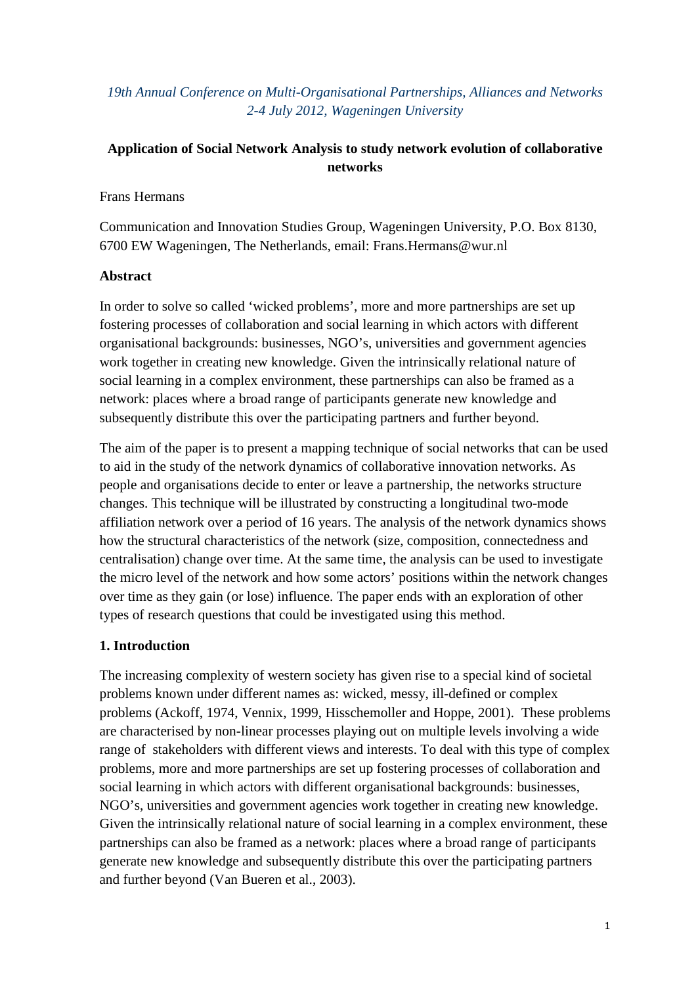## *19th Annual Conference on Multi-Organisational Partnerships, Alliances and Networks 2-4 July 2012, Wageningen University*

# **Application of Social Network Analysis to study network evolution of collaborative networks**

Frans Hermans

Communication and Innovation Studies Group, Wageningen University, P.O. Box 8130, 6700 EW Wageningen, The Netherlands, email: Frans.Hermans@wur.nl

### **Abstract**

In order to solve so called 'wicked problems', more and more partnerships are set up fostering processes of collaboration and social learning in which actors with different organisational backgrounds: businesses, NGO's, universities and government agencies work together in creating new knowledge. Given the intrinsically relational nature of social learning in a complex environment, these partnerships can also be framed as a network: places where a broad range of participants generate new knowledge and subsequently distribute this over the participating partners and further beyond.

The aim of the paper is to present a mapping technique of social networks that can be used to aid in the study of the network dynamics of collaborative innovation networks. As people and organisations decide to enter or leave a partnership, the networks structure changes. This technique will be illustrated by constructing a longitudinal two-mode affiliation network over a period of 16 years. The analysis of the network dynamics shows how the structural characteristics of the network (size, composition, connectedness and centralisation) change over time. At the same time, the analysis can be used to investigate the micro level of the network and how some actors' positions within the network changes over time as they gain (or lose) influence. The paper ends with an exploration of other types of research questions that could be investigated using this method.

## **1. Introduction**

The increasing complexity of western society has given rise to a special kind of societal problems known under different names as: wicked, messy, ill-defined or complex problems (Ackoff, 1974, Vennix, 1999, Hisschemoller and Hoppe, 2001). These problems are characterised by non-linear processes playing out on multiple levels involving a wide range of stakeholders with different views and interests. To deal with this type of complex problems, more and more partnerships are set up fostering processes of collaboration and social learning in which actors with different organisational backgrounds: businesses, NGO's, universities and government agencies work together in creating new knowledge. Given the intrinsically relational nature of social learning in a complex environment, these partnerships can also be framed as a network: places where a broad range of participants generate new knowledge and subsequently distribute this over the participating partners and further beyond (Van Bueren et al., 2003).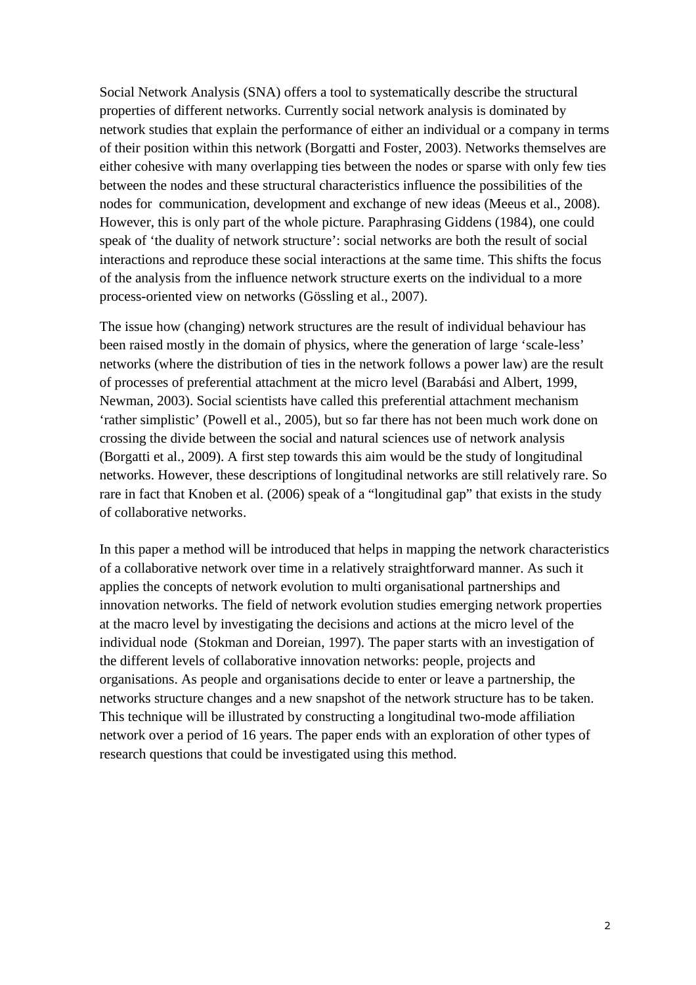Social Network Analysis (SNA) offers a tool to systematically describe the structural properties of different networks. Currently social network analysis is dominated by network studies that explain the performance of either an individual or a company in terms of their position within this network (Borgatti and Foster, 2003). Networks themselves are either cohesive with many overlapping ties between the nodes or sparse with only few ties between the nodes and these structural characteristics influence the possibilities of the nodes for communication, development and exchange of new ideas (Meeus et al., 2008). However, this is only part of the whole picture. Paraphrasing Giddens (1984), one could speak of 'the duality of network structure': social networks are both the result of social interactions and reproduce these social interactions at the same time. This shifts the focus of the analysis from the influence network structure exerts on the individual to a more process-oriented view on networks (Gössling et al., 2007).

The issue how (changing) network structures are the result of individual behaviour has been raised mostly in the domain of physics, where the generation of large 'scale-less' networks (where the distribution of ties in the network follows a power law) are the result of processes of preferential attachment at the micro level (Barabási and Albert, 1999, Newman, 2003). Social scientists have called this preferential attachment mechanism 'rather simplistic' (Powell et al., 2005), but so far there has not been much work done on crossing the divide between the social and natural sciences use of network analysis (Borgatti et al., 2009). A first step towards this aim would be the study of longitudinal networks. However, these descriptions of longitudinal networks are still relatively rare. So rare in fact that Knoben et al. (2006) speak of a "longitudinal gap" that exists in the study of collaborative networks.

In this paper a method will be introduced that helps in mapping the network characteristics of a collaborative network over time in a relatively straightforward manner. As such it applies the concepts of network evolution to multi organisational partnerships and innovation networks. The field of network evolution studies emerging network properties at the macro level by investigating the decisions and actions at the micro level of the individual node (Stokman and Doreian, 1997). The paper starts with an investigation of the different levels of collaborative innovation networks: people, projects and organisations. As people and organisations decide to enter or leave a partnership, the networks structure changes and a new snapshot of the network structure has to be taken. This technique will be illustrated by constructing a longitudinal two-mode affiliation network over a period of 16 years. The paper ends with an exploration of other types of research questions that could be investigated using this method.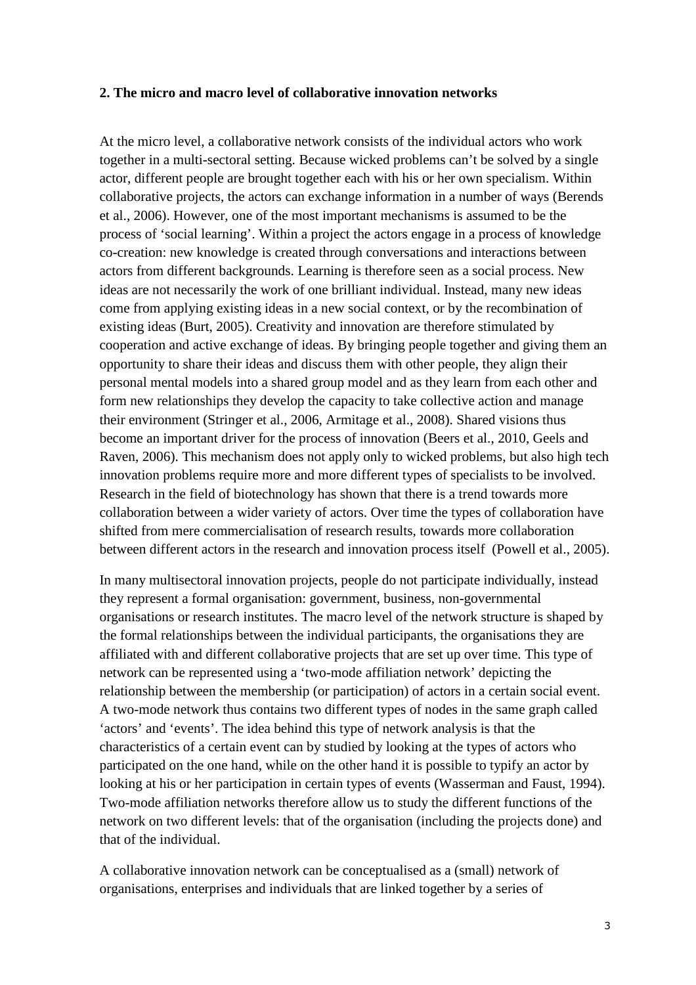#### **2. The micro and macro level of collaborative innovation networks**

At the micro level, a collaborative network consists of the individual actors who work together in a multi-sectoral setting. Because wicked problems can't be solved by a single actor, different people are brought together each with his or her own specialism. Within collaborative projects, the actors can exchange information in a number of ways (Berends et al., 2006). However, one of the most important mechanisms is assumed to be the process of 'social learning'. Within a project the actors engage in a process of knowledge co-creation: new knowledge is created through conversations and interactions between actors from different backgrounds. Learning is therefore seen as a social process. New ideas are not necessarily the work of one brilliant individual. Instead, many new ideas come from applying existing ideas in a new social context, or by the recombination of existing ideas (Burt, 2005). Creativity and innovation are therefore stimulated by cooperation and active exchange of ideas. By bringing people together and giving them an opportunity to share their ideas and discuss them with other people, they align their personal mental models into a shared group model and as they learn from each other and form new relationships they develop the capacity to take collective action and manage their environment (Stringer et al., 2006, Armitage et al., 2008). Shared visions thus become an important driver for the process of innovation (Beers et al., 2010, Geels and Raven, 2006). This mechanism does not apply only to wicked problems, but also high tech innovation problems require more and more different types of specialists to be involved. Research in the field of biotechnology has shown that there is a trend towards more collaboration between a wider variety of actors. Over time the types of collaboration have shifted from mere commercialisation of research results, towards more collaboration between different actors in the research and innovation process itself (Powell et al., 2005).

In many multisectoral innovation projects, people do not participate individually, instead they represent a formal organisation: government, business, non-governmental organisations or research institutes. The macro level of the network structure is shaped by the formal relationships between the individual participants, the organisations they are affiliated with and different collaborative projects that are set up over time. This type of network can be represented using a 'two-mode affiliation network' depicting the relationship between the membership (or participation) of actors in a certain social event. A two-mode network thus contains two different types of nodes in the same graph called 'actors' and 'events'. The idea behind this type of network analysis is that the characteristics of a certain event can by studied by looking at the types of actors who participated on the one hand, while on the other hand it is possible to typify an actor by looking at his or her participation in certain types of events (Wasserman and Faust, 1994). Two-mode affiliation networks therefore allow us to study the different functions of the network on two different levels: that of the organisation (including the projects done) and that of the individual.

A collaborative innovation network can be conceptualised as a (small) network of organisations, enterprises and individuals that are linked together by a series of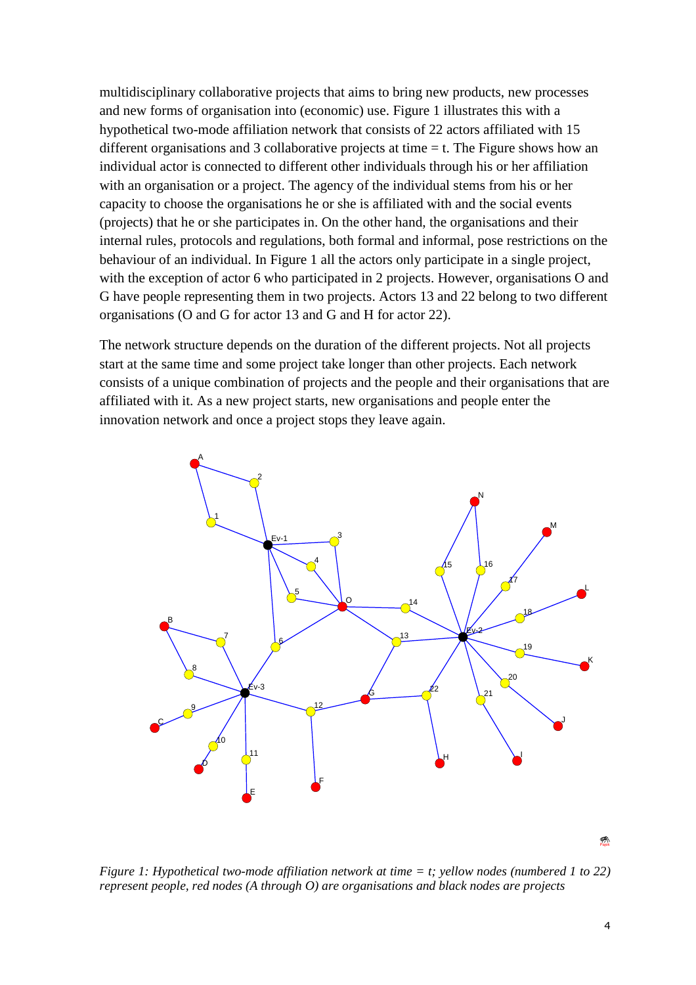multidisciplinary collaborative projects that aims to bring new products, new processes and new forms of organisation into (economic) use. Figure 1 illustrates this with a hypothetical two-mode affiliation network that consists of 22 actors affiliated with 15 different organisations and 3 collaborative projects at time  $=$  t. The Figure shows how an individual actor is connected to different other individuals through his or her affiliation with an organisation or a project. The agency of the individual stems from his or her capacity to choose the organisations he or she is affiliated with and the social events (projects) that he or she participates in. On the other hand, the organisations and their internal rules, protocols and regulations, both formal and informal, pose restrictions on the behaviour of an individual. In Figure 1 all the actors only participate in a single project, with the exception of actor 6 who participated in 2 projects. However, organisations O and G have people representing them in two projects. Actors 13 and 22 belong to two different organisations (O and G for actor 13 and G and H for actor 22).

The network structure depends on the duration of the different projects. Not all projects start at the same time and some project take longer than other projects. Each network consists of a unique combination of projects and the people and their organisations that are affiliated with it. As a new project starts, new organisations and people enter the innovation network and once a project stops they leave again.



*Figure 1: Hypothetical two-mode affiliation network at time = t; yellow nodes (numbered 1 to 22) represent people, red nodes (A through O) are organisations and black nodes are projects*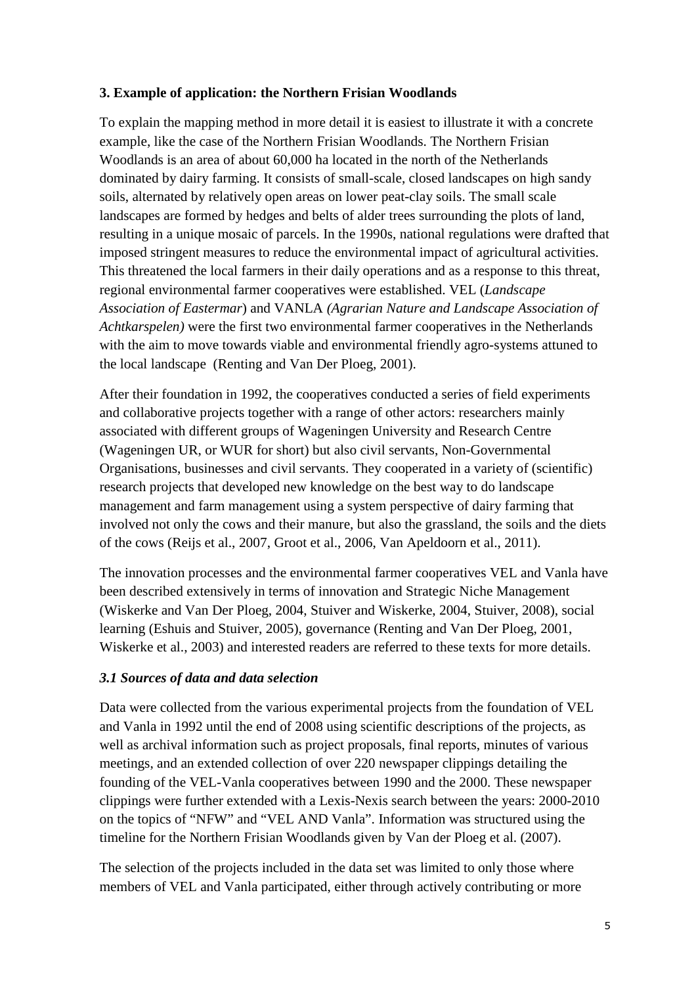## **3. Example of application: the Northern Frisian Woodlands**

To explain the mapping method in more detail it is easiest to illustrate it with a concrete example, like the case of the Northern Frisian Woodlands. The Northern Frisian Woodlands is an area of about 60,000 ha located in the north of the Netherlands dominated by dairy farming. It consists of small-scale, closed landscapes on high sandy soils, alternated by relatively open areas on lower peat-clay soils. The small scale landscapes are formed by hedges and belts of alder trees surrounding the plots of land, resulting in a unique mosaic of parcels. In the 1990s, national regulations were drafted that imposed stringent measures to reduce the environmental impact of agricultural activities. This threatened the local farmers in their daily operations and as a response to this threat, regional environmental farmer cooperatives were established. VEL (*Landscape Association of Eastermar*) and VANLA *(Agrarian Nature and Landscape Association of Achtkarspelen)* were the first two environmental farmer cooperatives in the Netherlands with the aim to move towards viable and environmental friendly agro-systems attuned to the local landscape (Renting and Van Der Ploeg, 2001).

After their foundation in 1992, the cooperatives conducted a series of field experiments and collaborative projects together with a range of other actors: researchers mainly associated with different groups of Wageningen University and Research Centre (Wageningen UR, or WUR for short) but also civil servants, Non-Governmental Organisations, businesses and civil servants. They cooperated in a variety of (scientific) research projects that developed new knowledge on the best way to do landscape management and farm management using a system perspective of dairy farming that involved not only the cows and their manure, but also the grassland, the soils and the diets of the cows (Reijs et al., 2007, Groot et al., 2006, Van Apeldoorn et al., 2011).

The innovation processes and the environmental farmer cooperatives VEL and Vanla have been described extensively in terms of innovation and Strategic Niche Management (Wiskerke and Van Der Ploeg, 2004, Stuiver and Wiskerke, 2004, Stuiver, 2008), social learning (Eshuis and Stuiver, 2005), governance (Renting and Van Der Ploeg, 2001, Wiskerke et al., 2003) and interested readers are referred to these texts for more details.

## *3.1 Sources of data and data selection*

Data were collected from the various experimental projects from the foundation of VEL and Vanla in 1992 until the end of 2008 using scientific descriptions of the projects, as well as archival information such as project proposals, final reports, minutes of various meetings, and an extended collection of over 220 newspaper clippings detailing the founding of the VEL-Vanla cooperatives between 1990 and the 2000. These newspaper clippings were further extended with a Lexis-Nexis search between the years: 2000-2010 on the topics of "NFW" and "VEL AND Vanla". Information was structured using the timeline for the Northern Frisian Woodlands given by Van der Ploeg et al. (2007).

The selection of the projects included in the data set was limited to only those where members of VEL and Vanla participated, either through actively contributing or more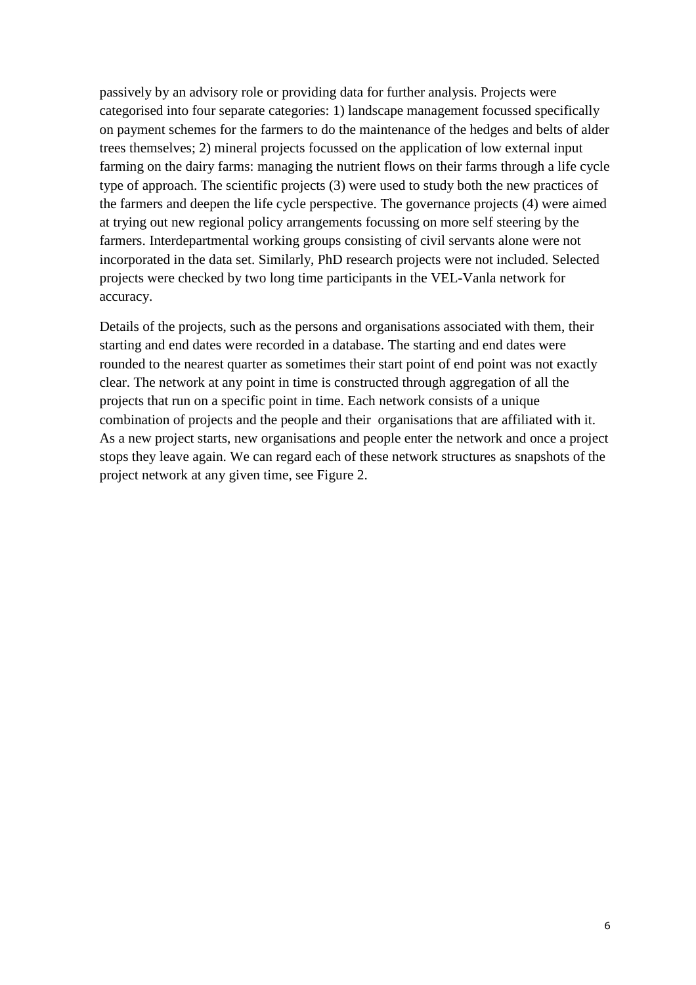passively by an advisory role or providing data for further analysis. Projects were categorised into four separate categories: 1) landscape management focussed specifically on payment schemes for the farmers to do the maintenance of the hedges and belts of alder trees themselves; 2) mineral projects focussed on the application of low external input farming on the dairy farms: managing the nutrient flows on their farms through a life cycle type of approach. The scientific projects (3) were used to study both the new practices of the farmers and deepen the life cycle perspective. The governance projects (4) were aimed at trying out new regional policy arrangements focussing on more self steering by the farmers. Interdepartmental working groups consisting of civil servants alone were not incorporated in the data set. Similarly, PhD research projects were not included. Selected projects were checked by two long time participants in the VEL-Vanla network for accuracy.

Details of the projects, such as the persons and organisations associated with them, their starting and end dates were recorded in a database. The starting and end dates were rounded to the nearest quarter as sometimes their start point of end point was not exactly clear. The network at any point in time is constructed through aggregation of all the projects that run on a specific point in time. Each network consists of a unique combination of projects and the people and their organisations that are affiliated with it. As a new project starts, new organisations and people enter the network and once a project stops they leave again. We can regard each of these network structures as snapshots of the project network at any given time, see Figure 2.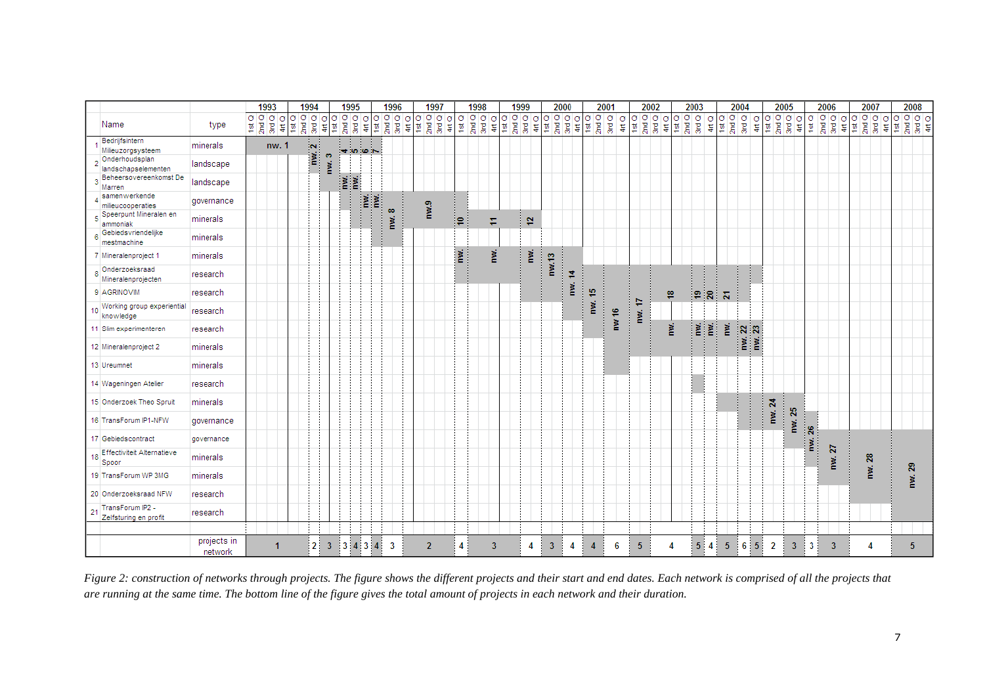|                                                  |                        | 1993                                                                           |       |               | 1994                                                                               |     |                 |      | 1995   |                             |          | 1996             |         |                | 1997                                                                                                        |       |                | 1998 |                                                                                                     |     |                                                                                                           | 1999 |                            |                                                                                                        | 2000 |    |                    | 2001 |                   | 2002                                                                                                   |                |      | 2003                 |          |                | 2004 |        |             |                | 2005                           |                      |                | 2006 |  | 2007   |   |    | 2008                                       |  |
|--------------------------------------------------|------------------------|--------------------------------------------------------------------------------|-------|---------------|------------------------------------------------------------------------------------|-----|-----------------|------|--------|-----------------------------|----------|------------------|---------|----------------|-------------------------------------------------------------------------------------------------------------|-------|----------------|------|-----------------------------------------------------------------------------------------------------|-----|-----------------------------------------------------------------------------------------------------------|------|----------------------------|--------------------------------------------------------------------------------------------------------|------|----|--------------------|------|-------------------|--------------------------------------------------------------------------------------------------------|----------------|------|----------------------|----------|----------------|------|--------|-------------|----------------|--------------------------------|----------------------|----------------|------|--|--------|---|----|--------------------------------------------|--|
| Name                                             | type                   | $\begin{array}{r} 1 \text{st Q} \\ 2 \text{nd Q} \\ 3 \text{rd Q} \end{array}$ |       | $\sigma$<br>튀 | lσσ<br>$\begin{array}{c} 1\text{st Q} \\ 2\text{nd Q} \\ \text{3rd Q} \end{array}$ |     | 181 Q<br>σ<br>ţ | 2ndQ | σ<br>ğ | σ<br>부호                     | $\sigma$ | $2ndQ$<br>$3rdQ$ | $4rt$ Q |                | $\begin{array}{r} 1 \text{ at } \text{O} \\ 2 \text{ and } \text{O} \\ 3 \text{ and } \text{O} \end{array}$ | 4rt Q | $\frac{1}{2}$  |      | $\begin{tabular}{ c c } \hline 2nd & 0 \\ \hline 3rd & 0 \\ \hline 4rd & 0 \\ \hline \end{tabular}$ |     | $\begin{array}{c} 1 \text{ st } \text{C} \\ 2 \text{ nd } \text{C} \\ 3 \text{ md } \text{C} \end{array}$ |      | σ<br>$\ddot{\tilde{\tau}}$ | $\begin{array}{c} 1 \text{st } \text{O} \\ 2 \text{nd } \text{O} \\ 3 \text{nd } \text{O} \end{array}$ |      |    | $\frac{4\pi}{180}$ |      | 3rd Q<br>$4$ rt Q | $\begin{array}{c} 1 \text{st } \text{O} \\ 2 \text{nd } \text{O} \\ 3 \text{nd } \text{O} \end{array}$ | 1st Q<br>4rt Q | 2ndQ | 3rdQ                 | 410      | 1st Q          | 2ndQ | 3rdQ   | $rac{Q}{4}$ | 1st Q          | $\frac{1}{2}$<br>$\frac{1}{2}$ | $\sigma$<br>$\sharp$ | 18IQ           |      |  |        | σ | ₽, | $\sigma$ $\sigma$ $\sigma$ $\sigma$<br>호볼호 |  |
| Bedrijfsintern<br>Milieuzorgsysteem              | minerals               |                                                                                | nw. 1 |               |                                                                                    |     |                 |      |        | $+ 1000 -$                  |          |                  |         |                |                                                                                                             |       |                |      |                                                                                                     |     |                                                                                                           |      |                            |                                                                                                        |      |    |                    |      |                   |                                                                                                        |                |      |                      |          |                |      |        |             |                |                                |                      |                |      |  |        |   |    |                                            |  |
| Onderhoudsplan<br>landschapselementen            | landscape              |                                                                                |       |               |                                                                                    | m/2 | ø<br>ğ,         |      |        |                             |          |                  |         |                |                                                                                                             |       |                |      |                                                                                                     |     |                                                                                                           |      |                            |                                                                                                        |      |    |                    |      |                   |                                                                                                        |                |      |                      |          |                |      |        |             |                |                                |                      |                |      |  |        |   |    |                                            |  |
| Beheersovereenkomst De<br>Marren                 | landscape              |                                                                                |       |               |                                                                                    |     |                 | 邕    | Ĕ.     |                             |          |                  |         |                |                                                                                                             |       |                |      |                                                                                                     |     |                                                                                                           |      |                            |                                                                                                        |      |    |                    |      |                   |                                                                                                        |                |      |                      |          |                |      |        |             |                |                                |                      |                |      |  |        |   |    |                                            |  |
| samenwerkende<br>milieucooperaties               | governance             |                                                                                |       |               |                                                                                    |     |                 |      |        | $\widetilde{\mathbf{r}}$    | Ĕ.       | $\infty$         |         | nwa3           |                                                                                                             |       |                |      |                                                                                                     |     |                                                                                                           |      |                            |                                                                                                        |      |    |                    |      |                   |                                                                                                        |                |      |                      |          |                |      |        |             |                |                                |                      |                |      |  |        |   |    |                                            |  |
| Speerpunt Mineralen en<br>ammoniak               | minerals               |                                                                                |       |               |                                                                                    |     |                 |      |        |                             |          | ğ                |         |                |                                                                                                             |       | ₽.             |      | Φ                                                                                                   |     |                                                                                                           | 힅    |                            |                                                                                                        |      |    |                    |      |                   |                                                                                                        |                |      |                      |          |                |      |        |             |                |                                |                      |                |      |  |        |   |    |                                            |  |
| Gebiedsvriendelijke<br>mestmachine               | minerals               |                                                                                |       |               |                                                                                    |     |                 |      |        |                             |          |                  |         |                |                                                                                                             |       |                |      |                                                                                                     |     |                                                                                                           |      |                            |                                                                                                        |      |    |                    |      |                   |                                                                                                        |                |      |                      |          |                |      |        |             |                |                                |                      |                |      |  |        |   |    |                                            |  |
| 7 Mineralenproject 1                             | minerals               |                                                                                |       |               |                                                                                    |     |                 |      |        |                             |          |                  |         |                |                                                                                                             |       | Ĕ.             |      |                                                                                                     | nw. |                                                                                                           | ğ.   |                            | nw.13                                                                                                  |      |    |                    |      |                   |                                                                                                        |                |      |                      |          |                |      |        |             |                |                                |                      |                |      |  |        |   |    |                                            |  |
| Onderzoeksraad<br>Mineralenprojecten             | research               |                                                                                |       |               |                                                                                    |     |                 |      |        |                             |          |                  |         |                |                                                                                                             |       |                |      |                                                                                                     |     |                                                                                                           |      |                            |                                                                                                        |      | ≉  |                    |      |                   |                                                                                                        |                |      | $\ddot{\phantom{a}}$ |          |                | ł    |        |             |                |                                |                      |                |      |  |        |   |    |                                            |  |
| 9 AGRINOVIM                                      | research               |                                                                                |       |               |                                                                                    |     |                 |      |        |                             |          |                  |         |                |                                                                                                             |       |                |      |                                                                                                     |     |                                                                                                           |      |                            |                                                                                                        |      | ğ, | 쀼                  |      |                   | ¢                                                                                                      | ₽              |      | ್ಲ                   | ន        | Μ              |      |        |             |                |                                |                      |                |      |  |        |   |    |                                            |  |
| Working group experiential<br>10<br>knowledge    | research               |                                                                                |       |               |                                                                                    |     |                 |      |        |                             |          |                  |         |                |                                                                                                             |       |                |      |                                                                                                     |     |                                                                                                           |      |                            |                                                                                                        |      |    | ğ,                 |      | ۴                 | ğ                                                                                                      |                |      |                      |          |                |      |        |             |                |                                |                      |                |      |  |        |   |    |                                            |  |
| 11 Slim experimenteren                           | research               |                                                                                |       |               |                                                                                    |     |                 |      |        |                             |          |                  |         |                |                                                                                                             |       |                |      |                                                                                                     |     |                                                                                                           |      |                            |                                                                                                        |      |    |                    |      | ğ                 |                                                                                                        | ğ              |      | ⊺¥                   | 割        | PW.            |      | MW. 23 |             |                |                                |                      |                |      |  |        |   |    |                                            |  |
| 12 Mineralenproject 2                            | minerals               |                                                                                |       |               |                                                                                    |     |                 |      |        |                             |          |                  |         |                |                                                                                                             |       |                |      |                                                                                                     |     |                                                                                                           |      |                            |                                                                                                        |      |    |                    |      |                   |                                                                                                        |                |      |                      |          |                |      |        |             |                |                                |                      |                |      |  |        |   |    |                                            |  |
| 13 Ureumnet                                      | minerals               |                                                                                |       |               |                                                                                    |     |                 |      |        |                             |          |                  |         |                |                                                                                                             |       |                |      |                                                                                                     |     |                                                                                                           |      |                            |                                                                                                        |      |    |                    |      |                   |                                                                                                        |                |      |                      |          |                |      |        |             |                |                                |                      |                |      |  |        |   |    |                                            |  |
| 14 Wageningen Atelier                            | research               |                                                                                |       |               |                                                                                    |     |                 |      |        |                             |          |                  |         |                |                                                                                                             |       |                |      |                                                                                                     |     |                                                                                                           |      |                            |                                                                                                        |      |    |                    |      |                   |                                                                                                        |                |      |                      |          |                |      |        |             |                |                                |                      |                |      |  |        |   |    |                                            |  |
| 15 Onderzoek Theo Spruit                         | minerals               |                                                                                |       |               |                                                                                    |     |                 |      |        |                             |          |                  |         |                |                                                                                                             |       |                |      |                                                                                                     |     |                                                                                                           |      |                            |                                                                                                        |      |    |                    |      |                   |                                                                                                        |                |      |                      |          |                |      |        |             | nw. 24         |                                |                      |                |      |  |        |   |    |                                            |  |
| 16 TransForum IP1-NFW                            | governance             |                                                                                |       |               |                                                                                    |     |                 |      |        |                             |          |                  |         |                |                                                                                                             |       |                |      |                                                                                                     |     |                                                                                                           |      |                            |                                                                                                        |      |    |                    |      |                   |                                                                                                        |                |      |                      |          |                |      |        |             |                | nw. 25                         |                      | $\mathbb{S}^2$ |      |  |        |   |    |                                            |  |
| 17 Gebiedscontract                               | governance             |                                                                                |       |               |                                                                                    |     |                 |      |        |                             |          |                  |         |                |                                                                                                             |       |                |      |                                                                                                     |     |                                                                                                           |      |                            |                                                                                                        |      |    |                    |      |                   |                                                                                                        |                |      |                      |          |                |      |        |             |                |                                |                      |                | N    |  |        |   |    |                                            |  |
| <b>Effectiviteit Alternatieve</b><br>18<br>Spoor | minerals               |                                                                                |       |               |                                                                                    |     |                 |      |        |                             |          |                  |         |                |                                                                                                             |       |                |      |                                                                                                     |     |                                                                                                           |      |                            |                                                                                                        |      |    |                    |      |                   |                                                                                                        |                |      |                      |          |                |      |        |             |                |                                |                      | nw.            | ğ    |  | nw. 28 |   |    | 8                                          |  |
| 19 TransForum WP 3MG                             | minerals               |                                                                                |       |               |                                                                                    |     |                 |      |        |                             |          |                  |         |                |                                                                                                             |       |                |      |                                                                                                     |     |                                                                                                           |      |                            |                                                                                                        |      |    |                    |      |                   |                                                                                                        |                |      |                      |          |                |      |        |             |                |                                |                      |                |      |  |        |   |    | PW.                                        |  |
| 20 Onderzoeksraad NFW                            | research               |                                                                                |       |               |                                                                                    |     |                 |      |        |                             |          |                  |         |                |                                                                                                             |       |                |      |                                                                                                     |     |                                                                                                           |      |                            |                                                                                                        |      |    |                    |      |                   |                                                                                                        |                |      |                      |          |                |      |        |             |                |                                |                      |                |      |  |        |   |    |                                            |  |
| TransForum IP2 -<br>21<br>Zelfsturing en profit  | research               |                                                                                |       |               |                                                                                    |     |                 |      |        |                             |          |                  |         |                |                                                                                                             |       |                |      |                                                                                                     |     |                                                                                                           |      |                            |                                                                                                        |      |    |                    |      |                   |                                                                                                        |                |      |                      |          |                |      |        |             |                |                                |                      |                |      |  |        |   |    |                                            |  |
|                                                  |                        |                                                                                |       |               |                                                                                    |     |                 |      |        |                             |          |                  |         |                |                                                                                                             |       |                |      |                                                                                                     |     |                                                                                                           |      |                            |                                                                                                        |      |    |                    |      |                   |                                                                                                        |                |      |                      |          |                |      |        |             |                |                                |                      |                |      |  |        |   |    |                                            |  |
|                                                  | projects in<br>network |                                                                                |       |               |                                                                                    | 2.  | 3               |      |        | $3 \quad 4 \quad 3 \quad 4$ |          | 3                |         | $\overline{2}$ |                                                                                                             |       | 4 <sup>1</sup> |      |                                                                                                     | 3   |                                                                                                           | 4    |                            | $\overline{3}$                                                                                         | j    | 4  | 4                  |      | 6                 | 5 <sup>1</sup>                                                                                         | 4              |      |                      | $5 \, 4$ | 5 <sub>5</sub> |      |        | 6 5         | $\overline{2}$ | $\overline{3}$                 |                      | 3 <sup>1</sup> | 3    |  | 4      |   |    | 5                                          |  |

*Figure 2: construction of networks through projects. The figure shows the different projects and their start and end dates. Each network is comprised of all the projects that are running at the same time. The bottom line of the figure gives the total amount of projects in each network and their duration.*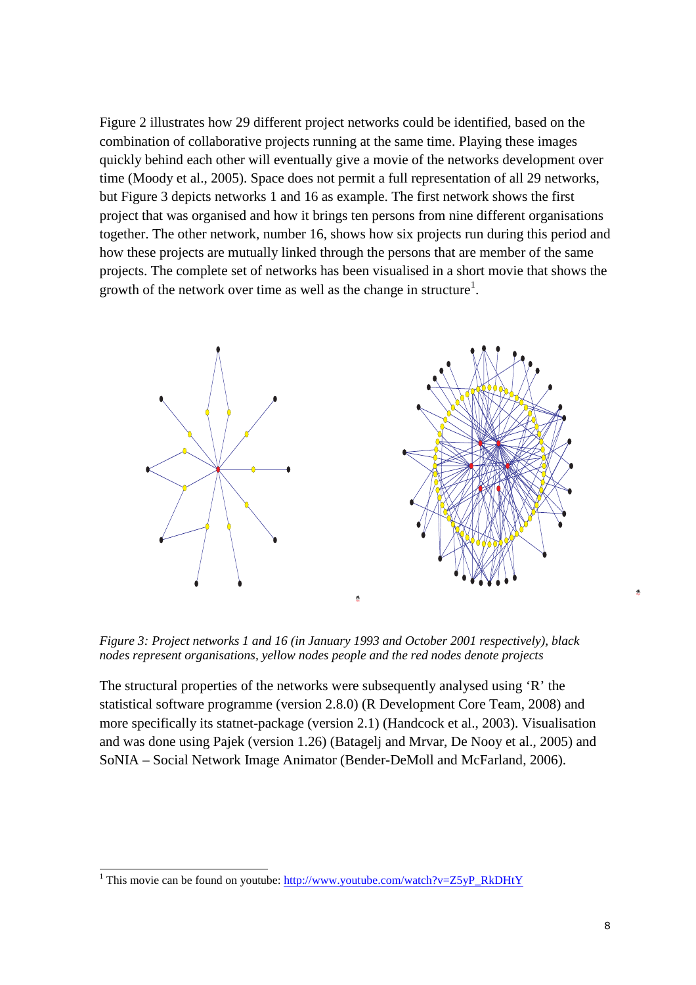Figure 2 illustrates how 29 different project networks could be identified, based on the combination of collaborative projects running at the same time. Playing these images quickly behind each other will eventually give a movie of the networks development over time (Moody et al., 2005). Space does not permit a full representation of all 29 networks, but Figure 3 depicts networks 1 and 16 as example. The first network shows the first project that was organised and how it brings ten persons from nine different organisations together. The other network, number 16, shows how six projects run during this period and how these projects are mutually linked through the persons that are member of the same projects. The complete set of networks has been visualised in a short movie that shows the growth of the network over time as well as the change in structure<sup>1</sup>.



*Figure 3: Project networks 1 and 16 (in January 1993 and October 2001 respectively), black nodes represent organisations, yellow nodes people and the red nodes denote projects* 

The structural properties of the networks were subsequently analysed using 'R' the statistical software programme (version 2.8.0) (R Development Core Team, 2008) and more specifically its statnet-package (version 2.1) (Handcock et al., 2003). Visualisation and was done using Pajek (version 1.26) (Batagelj and Mrvar, De Nooy et al., 2005) and SoNIA – Social Network Image Animator (Bender-DeMoll and McFarland, 2006).

l

Pajek

<sup>&</sup>lt;sup>1</sup> This movie can be found on youtube:  $\frac{http://www.youtube.com/watch?v=Z5yP-RkDHtY}{}$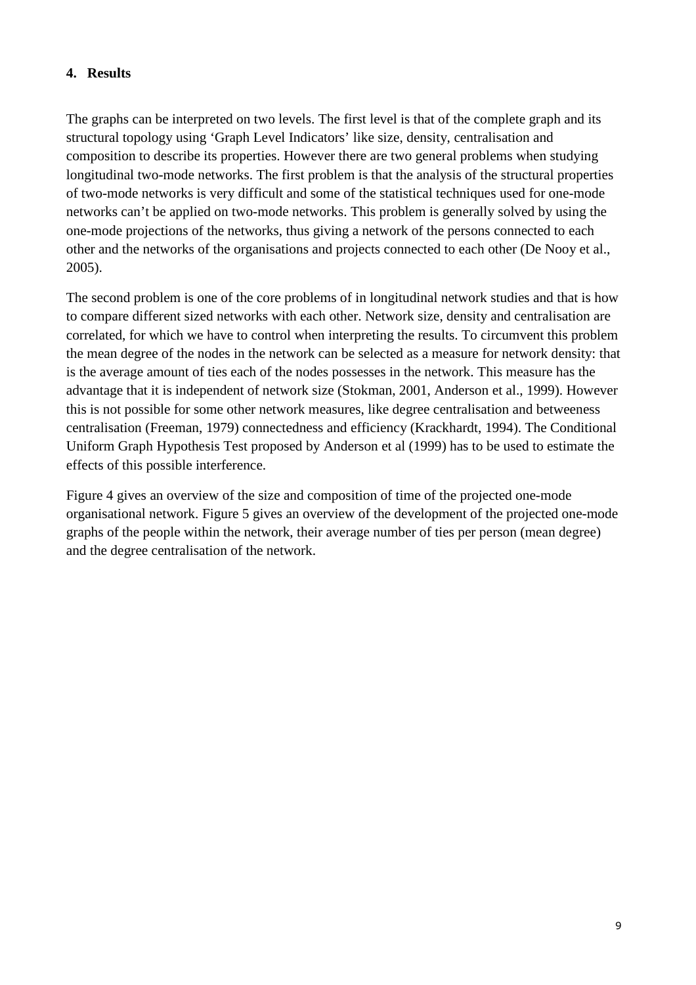## **4. Results**

The graphs can be interpreted on two levels. The first level is that of the complete graph and its structural topology using 'Graph Level Indicators' like size, density, centralisation and composition to describe its properties. However there are two general problems when studying longitudinal two-mode networks. The first problem is that the analysis of the structural properties of two-mode networks is very difficult and some of the statistical techniques used for one-mode networks can't be applied on two-mode networks. This problem is generally solved by using the one-mode projections of the networks, thus giving a network of the persons connected to each other and the networks of the organisations and projects connected to each other (De Nooy et al., 2005).

The second problem is one of the core problems of in longitudinal network studies and that is how to compare different sized networks with each other. Network size, density and centralisation are correlated, for which we have to control when interpreting the results. To circumvent this problem the mean degree of the nodes in the network can be selected as a measure for network density: that is the average amount of ties each of the nodes possesses in the network. This measure has the advantage that it is independent of network size (Stokman, 2001, Anderson et al., 1999). However this is not possible for some other network measures, like degree centralisation and betweeness centralisation (Freeman, 1979) connectedness and efficiency (Krackhardt, 1994). The Conditional Uniform Graph Hypothesis Test proposed by Anderson et al (1999) has to be used to estimate the effects of this possible interference.

Figure 4 gives an overview of the size and composition of time of the projected one-mode organisational network. Figure 5 gives an overview of the development of the projected one-mode graphs of the people within the network, their average number of ties per person (mean degree) and the degree centralisation of the network.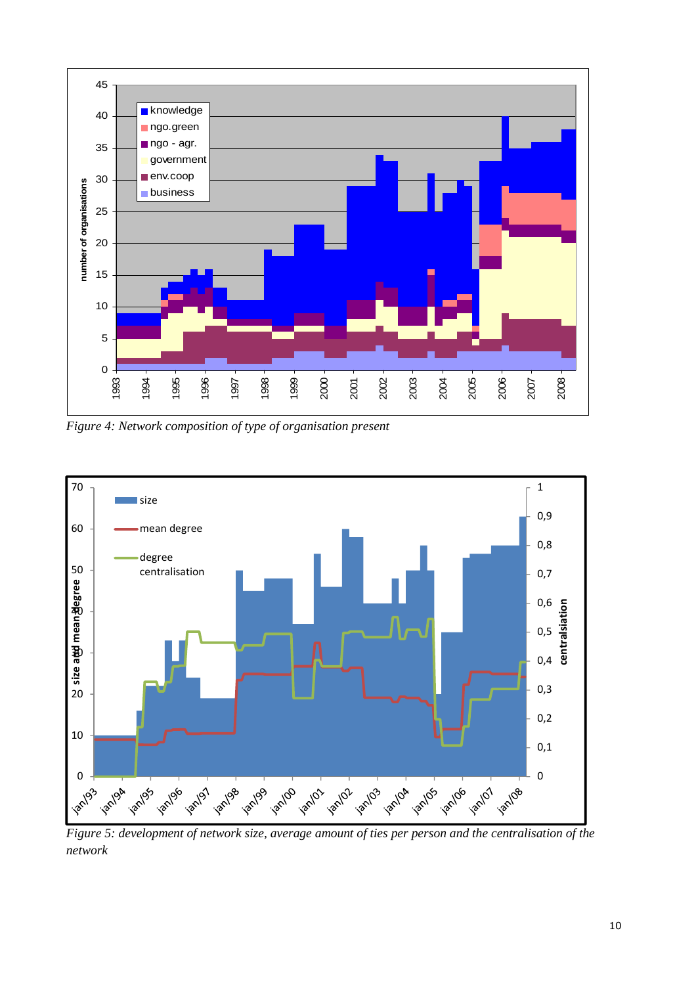

*Figure 4: Network composition of type of organisation present* 



*Figure 5: development of network size, average amount of ties per person and the centralisation of the network*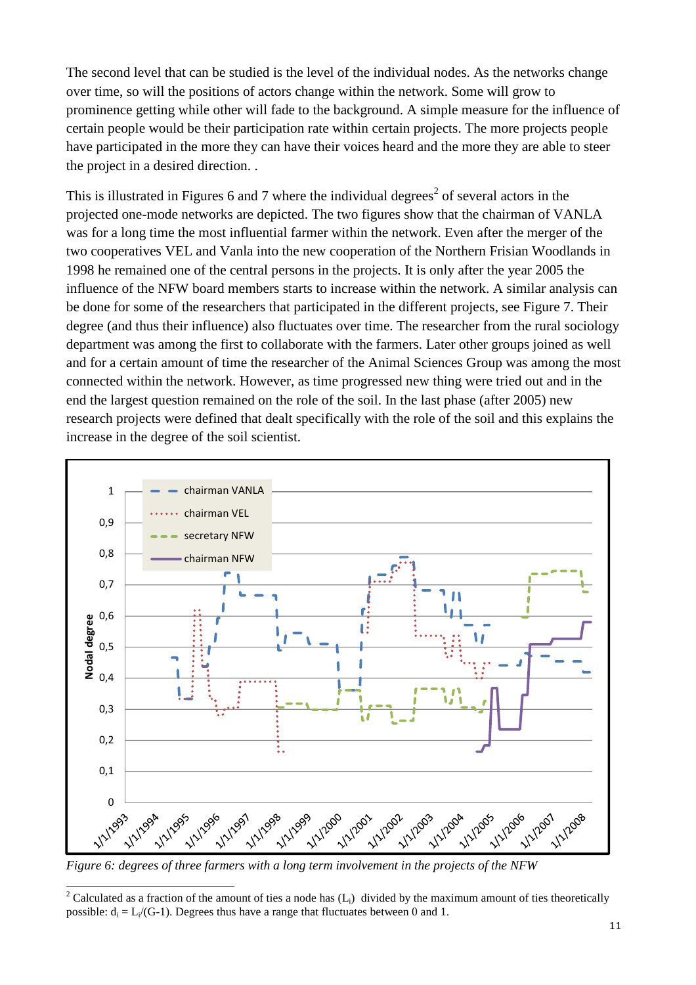The second level that can be studied is the level of the individual nodes. As the networks change over time, so will the positions of actors change within the network. Some will grow to prominence getting while other will fade to the background. A simple measure for the influence of certain people would be their participation rate within certain projects. The more projects people have participated in the more they can have their voices heard and the more they are able to steer the project in a desired direction. .

This is illustrated in Figures 6 and 7 where the individual degrees<sup>2</sup> of several actors in the projected one-mode networks are depicted. The two figures show that the chairman of VANLA was for a long time the most influential farmer within the network. Even after the merger of the two cooperatives VEL and Vanla into the new cooperation of the Northern Frisian Woodlands in 1998 he remained one of the central persons in the projects. It is only after the year 2005 the influence of the NFW board members starts to increase within the network. A similar analysis can be done for some of the researchers that participated in the different projects, see Figure 7. Their degree (and thus their influence) also fluctuates over time. The researcher from the rural sociology department was among the first to collaborate with the farmers. Later other groups joined as well and for a certain amount of time the researcher of the Animal Sciences Group was among the most connected within the network. However, as time progressed new thing were tried out and in the end the largest question remained on the role of the soil. In the last phase (after 2005) new research projects were defined that dealt specifically with the role of the soil and this explains the increase in the degree of the soil scientist.



*Figure 6: degrees of three farmers with a long term involvement in the projects of the NFW*

l

<sup>2</sup> Calculated as a fraction of the amount of ties a node has  $(L_i)$  divided by the maximum amount of ties theoretically possible:  $d_i = L_i / (G-1)$ . Degrees thus have a range that fluctuates between 0 and 1.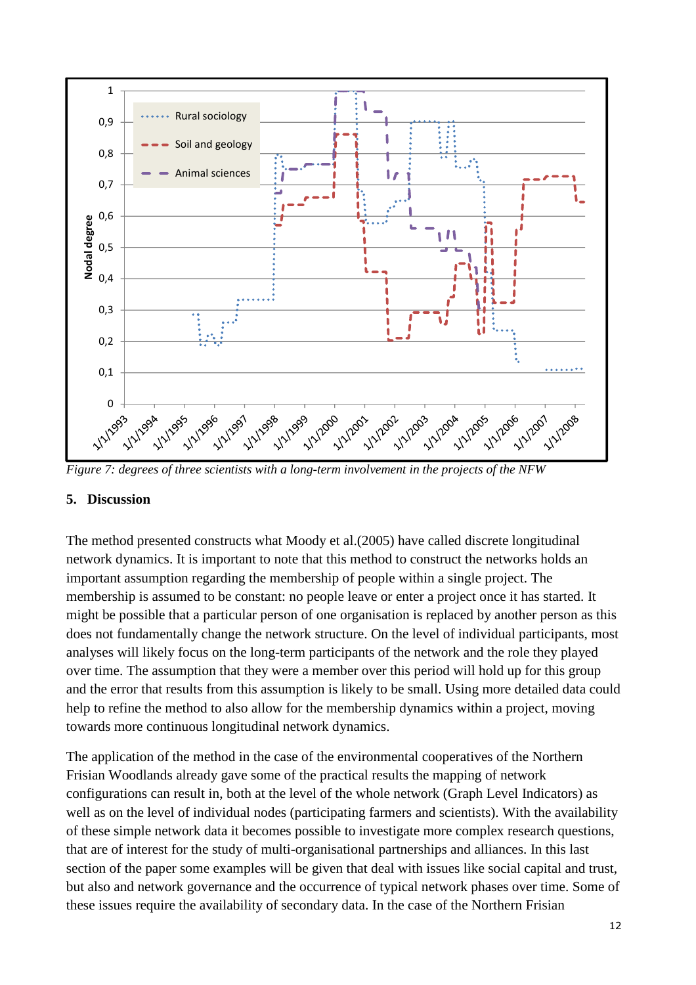

*Figure 7: degrees of three scientists with a long-term involvement in the projects of the NFW* 

#### **5. Discussion**

The method presented constructs what Moody et al.(2005) have called discrete longitudinal network dynamics. It is important to note that this method to construct the networks holds an important assumption regarding the membership of people within a single project. The membership is assumed to be constant: no people leave or enter a project once it has started. It might be possible that a particular person of one organisation is replaced by another person as this does not fundamentally change the network structure. On the level of individual participants, most analyses will likely focus on the long-term participants of the network and the role they played over time. The assumption that they were a member over this period will hold up for this group and the error that results from this assumption is likely to be small. Using more detailed data could help to refine the method to also allow for the membership dynamics within a project, moving towards more continuous longitudinal network dynamics.

The application of the method in the case of the environmental cooperatives of the Northern Frisian Woodlands already gave some of the practical results the mapping of network configurations can result in, both at the level of the whole network (Graph Level Indicators) as well as on the level of individual nodes (participating farmers and scientists). With the availability of these simple network data it becomes possible to investigate more complex research questions, that are of interest for the study of multi-organisational partnerships and alliances. In this last section of the paper some examples will be given that deal with issues like social capital and trust, but also and network governance and the occurrence of typical network phases over time. Some of these issues require the availability of secondary data. In the case of the Northern Frisian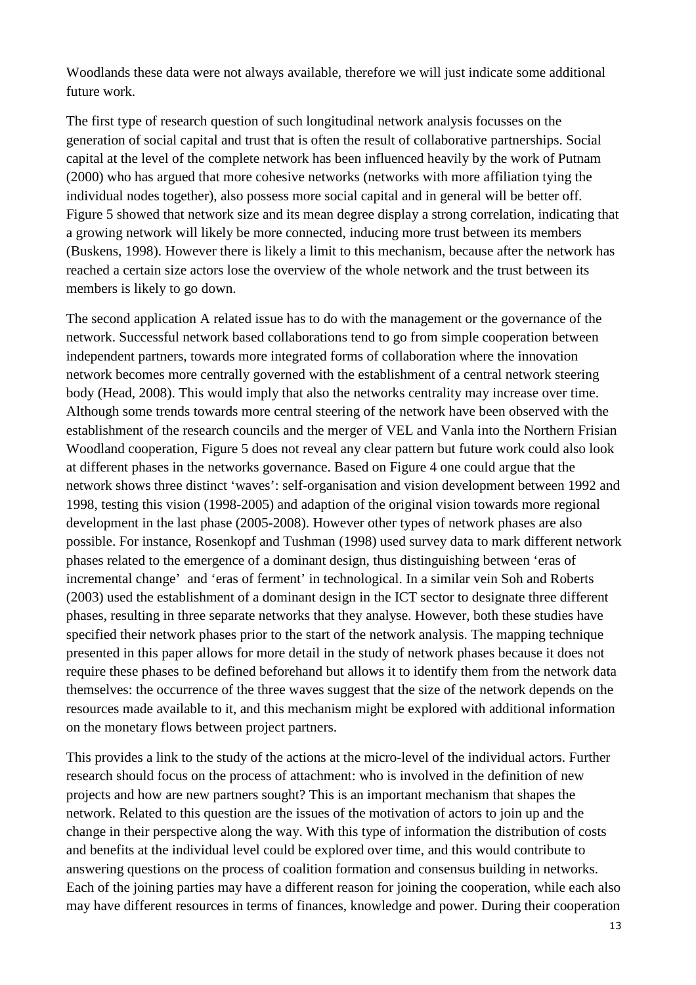Woodlands these data were not always available, therefore we will just indicate some additional future work.

The first type of research question of such longitudinal network analysis focusses on the generation of social capital and trust that is often the result of collaborative partnerships. Social capital at the level of the complete network has been influenced heavily by the work of Putnam (2000) who has argued that more cohesive networks (networks with more affiliation tying the individual nodes together), also possess more social capital and in general will be better off. Figure 5 showed that network size and its mean degree display a strong correlation, indicating that a growing network will likely be more connected, inducing more trust between its members (Buskens, 1998). However there is likely a limit to this mechanism, because after the network has reached a certain size actors lose the overview of the whole network and the trust between its members is likely to go down.

The second application A related issue has to do with the management or the governance of the network. Successful network based collaborations tend to go from simple cooperation between independent partners, towards more integrated forms of collaboration where the innovation network becomes more centrally governed with the establishment of a central network steering body (Head, 2008). This would imply that also the networks centrality may increase over time. Although some trends towards more central steering of the network have been observed with the establishment of the research councils and the merger of VEL and Vanla into the Northern Frisian Woodland cooperation, Figure 5 does not reveal any clear pattern but future work could also look at different phases in the networks governance. Based on Figure 4 one could argue that the network shows three distinct 'waves': self-organisation and vision development between 1992 and 1998, testing this vision (1998-2005) and adaption of the original vision towards more regional development in the last phase (2005-2008). However other types of network phases are also possible. For instance, Rosenkopf and Tushman (1998) used survey data to mark different network phases related to the emergence of a dominant design, thus distinguishing between 'eras of incremental change' and 'eras of ferment' in technological. In a similar vein Soh and Roberts (2003) used the establishment of a dominant design in the ICT sector to designate three different phases, resulting in three separate networks that they analyse. However, both these studies have specified their network phases prior to the start of the network analysis. The mapping technique presented in this paper allows for more detail in the study of network phases because it does not require these phases to be defined beforehand but allows it to identify them from the network data themselves: the occurrence of the three waves suggest that the size of the network depends on the resources made available to it, and this mechanism might be explored with additional information on the monetary flows between project partners.

This provides a link to the study of the actions at the micro-level of the individual actors. Further research should focus on the process of attachment: who is involved in the definition of new projects and how are new partners sought? This is an important mechanism that shapes the network. Related to this question are the issues of the motivation of actors to join up and the change in their perspective along the way. With this type of information the distribution of costs and benefits at the individual level could be explored over time, and this would contribute to answering questions on the process of coalition formation and consensus building in networks. Each of the joining parties may have a different reason for joining the cooperation, while each also may have different resources in terms of finances, knowledge and power. During their cooperation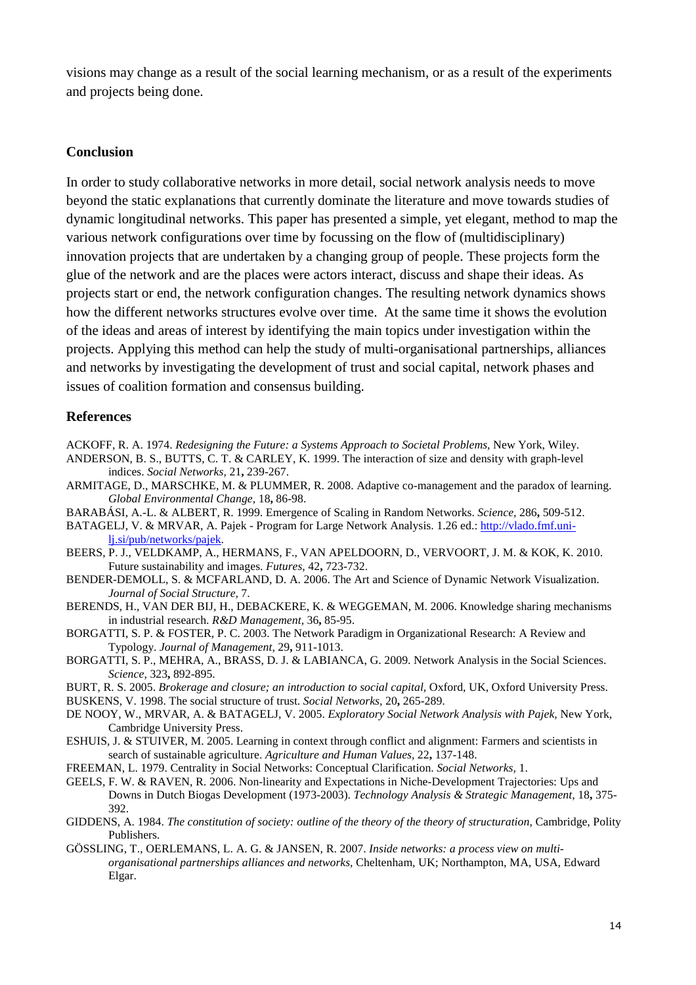visions may change as a result of the social learning mechanism, or as a result of the experiments and projects being done.

#### **Conclusion**

In order to study collaborative networks in more detail, social network analysis needs to move beyond the static explanations that currently dominate the literature and move towards studies of dynamic longitudinal networks. This paper has presented a simple, yet elegant, method to map the various network configurations over time by focussing on the flow of (multidisciplinary) innovation projects that are undertaken by a changing group of people. These projects form the glue of the network and are the places were actors interact, discuss and shape their ideas. As projects start or end, the network configuration changes. The resulting network dynamics shows how the different networks structures evolve over time. At the same time it shows the evolution of the ideas and areas of interest by identifying the main topics under investigation within the projects. Applying this method can help the study of multi-organisational partnerships, alliances and networks by investigating the development of trust and social capital, network phases and issues of coalition formation and consensus building.

#### **References**

ACKOFF, R. A. 1974. *Redesigning the Future: a Systems Approach to Societal Problems,* New York, Wiley.

- ANDERSON, B. S., BUTTS, C. T. & CARLEY, K. 1999. The interaction of size and density with graph-level indices. *Social Networks,* 21**,** 239-267.
- ARMITAGE, D., MARSCHKE, M. & PLUMMER, R. 2008. Adaptive co-management and the paradox of learning. *Global Environmental Change,* 18**,** 86-98.
- BARABÁSI, A.-L. & ALBERT, R. 1999. Emergence of Scaling in Random Networks. *Science,* 286**,** 509-512.
- BATAGELJ, V. & MRVAR, A. Pajek Program for Large Network Analysis. 1.26 ed.: http://vlado.fmf.unilj.si/pub/networks/pajek.
- BEERS, P. J., VELDKAMP, A., HERMANS, F., VAN APELDOORN, D., VERVOORT, J. M. & KOK, K. 2010. Future sustainability and images. *Futures,* 42**,** 723-732.
- BENDER-DEMOLL, S. & MCFARLAND, D. A. 2006. The Art and Science of Dynamic Network Visualization. *Journal of Social Structure,* 7.
- BERENDS, H., VAN DER BIJ, H., DEBACKERE, K. & WEGGEMAN, M. 2006. Knowledge sharing mechanisms in industrial research. *R&D Management,* 36**,** 85-95.
- BORGATTI, S. P. & FOSTER, P. C. 2003. The Network Paradigm in Organizational Research: A Review and Typology. *Journal of Management,* 29**,** 911-1013.
- BORGATTI, S. P., MEHRA, A., BRASS, D. J. & LABIANCA, G. 2009. Network Analysis in the Social Sciences. *Science,* 323**,** 892-895.
- BURT, R. S. 2005. *Brokerage and closure; an introduction to social capital,* Oxford, UK, Oxford University Press. BUSKENS, V. 1998. The social structure of trust. *Social Networks,* 20**,** 265-289.
- DE NOOY, W., MRVAR, A. & BATAGELJ, V. 2005. *Exploratory Social Network Analysis with Pajek,* New York, Cambridge University Press.
- ESHUIS, J. & STUIVER, M. 2005. Learning in context through conflict and alignment: Farmers and scientists in search of sustainable agriculture. *Agriculture and Human Values,* 22**,** 137-148.
- FREEMAN, L. 1979. Centrality in Social Networks: Conceptual Clarification. *Social Networks,* 1.
- GEELS, F. W. & RAVEN, R. 2006. Non-linearity and Expectations in Niche-Development Trajectories: Ups and Downs in Dutch Biogas Development (1973-2003). *Technology Analysis & Strategic Management,* 18**,** 375- 392.
- GIDDENS, A. 1984. *The constitution of society: outline of the theory of the theory of structuration*, Cambridge, Polity Publishers.
- GÖSSLING, T., OERLEMANS, L. A. G. & JANSEN, R. 2007. *Inside networks: a process view on multiorganisational partnerships alliances and networks,* Cheltenham, UK; Northampton, MA, USA, Edward Elgar.